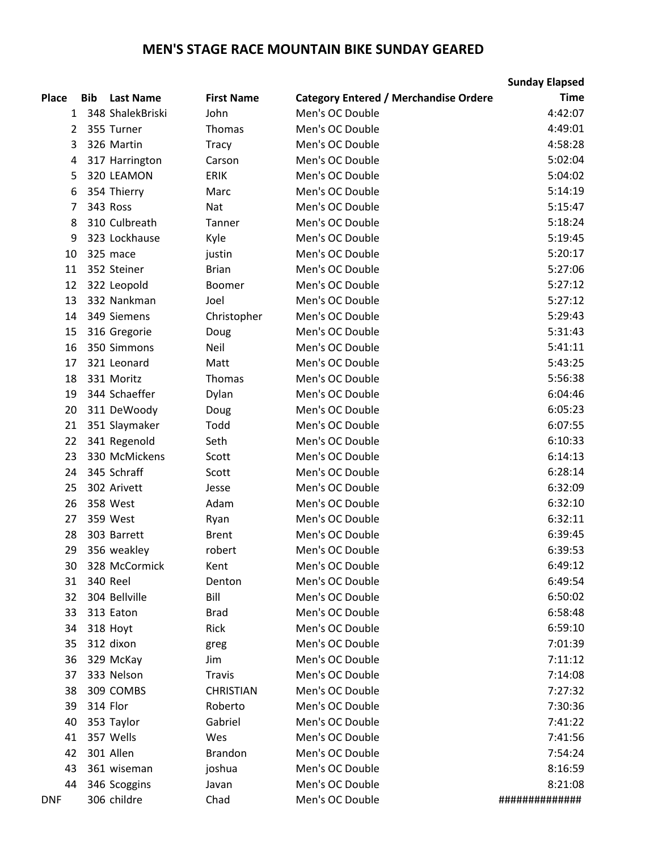## **MEN'S STAGE RACE MOUNTAIN BIKE SUNDAY GEARED**

|              |            |                  |                   |                                              | <b>Sunday Elapsed</b> |
|--------------|------------|------------------|-------------------|----------------------------------------------|-----------------------|
| <b>Place</b> | <b>Bib</b> | <b>Last Name</b> | <b>First Name</b> | <b>Category Entered / Merchandise Ordere</b> | <b>Time</b>           |
| 1            |            | 348 ShalekBriski | John              | Men's OC Double                              | 4:42:07               |
| 2            |            | 355 Turner       | Thomas            | Men's OC Double                              | 4:49:01               |
| 3            |            | 326 Martin       | <b>Tracy</b>      | Men's OC Double                              | 4:58:28               |
| 4            |            | 317 Harrington   | Carson            | Men's OC Double                              | 5:02:04               |
| 5            |            | 320 LEAMON       | <b>ERIK</b>       | Men's OC Double                              | 5:04:02               |
| 6            |            | 354 Thierry      | Marc              | Men's OC Double                              | 5:14:19               |
| 7            |            | 343 Ross         | <b>Nat</b>        | Men's OC Double                              | 5:15:47               |
| 8            |            | 310 Culbreath    | Tanner            | Men's OC Double                              | 5:18:24               |
| 9            |            | 323 Lockhause    | Kyle              | Men's OC Double                              | 5:19:45               |
| 10           |            | 325 mace         | justin            | Men's OC Double                              | 5:20:17               |
| 11           |            | 352 Steiner      | <b>Brian</b>      | Men's OC Double                              | 5:27:06               |
| 12           |            | 322 Leopold      | Boomer            | Men's OC Double                              | 5:27:12               |
| 13           |            | 332 Nankman      | Joel              | Men's OC Double                              | 5:27:12               |
| 14           |            | 349 Siemens      | Christopher       | Men's OC Double                              | 5:29:43               |
| 15           |            | 316 Gregorie     | Doug              | Men's OC Double                              | 5:31:43               |
| 16           |            | 350 Simmons      | Neil              | Men's OC Double                              | 5:41:11               |
| 17           |            | 321 Leonard      | Matt              | Men's OC Double                              | 5:43:25               |
| 18           |            | 331 Moritz       | Thomas            | Men's OC Double                              | 5:56:38               |
| 19           |            | 344 Schaeffer    | Dylan             | Men's OC Double                              | 6:04:46               |
| 20           |            | 311 DeWoody      | Doug              | Men's OC Double                              | 6:05:23               |
| 21           |            | 351 Slaymaker    | Todd              | Men's OC Double                              | 6:07:55               |
| 22           |            | 341 Regenold     | Seth              | Men's OC Double                              | 6:10:33               |
| 23           |            | 330 McMickens    | Scott             | Men's OC Double                              | 6:14:13               |
| 24           |            | 345 Schraff      | Scott             | Men's OC Double                              | 6:28:14               |
| 25           |            | 302 Arivett      | Jesse             | Men's OC Double                              | 6:32:09               |
| 26           |            | 358 West         | Adam              | Men's OC Double                              | 6:32:10               |
| 27           |            | 359 West         | Ryan              | Men's OC Double                              | 6:32:11               |
| 28           |            | 303 Barrett      | <b>Brent</b>      | Men's OC Double                              | 6:39:45               |
| 29           |            | 356 weakley      | robert            | Men's OC Double                              | 6:39:53               |
| 30           |            | 328 McCormick    | Kent              | Men's OC Double                              | 6:49:12               |
| 31           |            | 340 Reel         | Denton            | Men's OC Double                              | 6:49:54               |
| 32           |            | 304 Bellville    | Bill              | Men's OC Double                              | 6:50:02               |
| 33           |            | 313 Eaton        | <b>Brad</b>       | Men's OC Double                              | 6:58:48               |
| 34           |            | 318 Hoyt         | Rick              | Men's OC Double                              | 6:59:10               |
| 35           |            | 312 dixon        | greg              | Men's OC Double                              | 7:01:39               |
| 36           |            | 329 McKay        | Jim               | Men's OC Double                              | 7:11:12               |
| 37           |            | 333 Nelson       | <b>Travis</b>     | Men's OC Double                              | 7:14:08               |
| 38           |            | 309 COMBS        | <b>CHRISTIAN</b>  | Men's OC Double                              | 7:27:32               |
| 39           |            | 314 Flor         | Roberto           | Men's OC Double                              | 7:30:36               |
| 40           |            | 353 Taylor       | Gabriel           | Men's OC Double                              | 7:41:22               |
| 41           |            | 357 Wells        | Wes               | Men's OC Double                              | 7:41:56               |
| 42           |            | 301 Allen        | <b>Brandon</b>    | Men's OC Double                              | 7:54:24               |
| 43           |            | 361 wiseman      | joshua            | Men's OC Double                              | 8:16:59               |
| 44           |            | 346 Scoggins     | Javan             | Men's OC Double                              | 8:21:08               |
| <b>DNF</b>   |            | 306 childre      | Chad              | Men's OC Double                              | #############         |